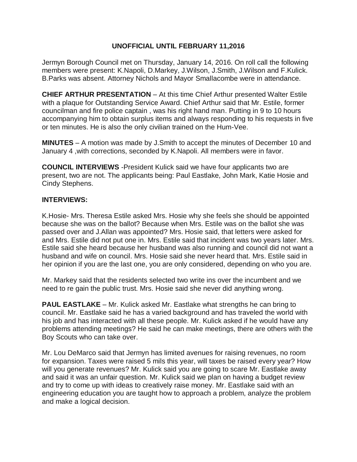# **UNOFFICIAL UNTIL FEBRUARY 11,2016**

Jermyn Borough Council met on Thursday, January 14, 2016. On roll call the following members were present: K.Napoli, D.Markey, J.Wilson, J.Smith, J.Wilson and F.Kulick. B.Parks was absent. Attorney Nichols and Mayor Smallacombe were in attendance.

**CHIEF ARTHUR PRESENTATION** – At this time Chief Arthur presented Walter Estile with a plaque for Outstanding Service Award. Chief Arthur said that Mr. Estile, former councilman and fire police captain , was his right hand man. Putting in 9 to 10 hours accompanying him to obtain surplus items and always responding to his requests in five or ten minutes. He is also the only civilian trained on the Hum-Vee.

**MINUTES** – A motion was made by J.Smith to accept the minutes of December 10 and January 4 ,with corrections, seconded by K.Napoli. All members were in favor.

**COUNCIL INTERVIEWS** -President Kulick said we have four applicants two are present, two are not. The applicants being: Paul Eastlake, John Mark, Katie Hosie and Cindy Stephens.

## **INTERVIEWS:**

K.Hosie- Mrs. Theresa Estile asked Mrs. Hosie why she feels she should be appointed because she was on the ballot? Because when Mrs. Estile was on the ballot she was passed over and J.Allan was appointed? Mrs. Hosie said, that letters were asked for and Mrs. Estile did not put one in. Mrs. Estile said that incident was two years later. Mrs. Estile said she heard because her husband was also running and council did not want a husband and wife on council. Mrs. Hosie said she never heard that. Mrs. Estile said in her opinion if you are the last one, you are only considered, depending on who you are.

Mr. Markey said that the residents selected two write ins over the incumbent and we need to re gain the public trust. Mrs. Hosie said she never did anything wrong.

**PAUL EASTLAKE** – Mr. Kulick asked Mr. Eastlake what strengths he can bring to council. Mr. Eastlake said he has a varied background and has traveled the world with his job and has interacted with all these people. Mr. Kulick asked if he would have any problems attending meetings? He said he can make meetings, there are others with the Boy Scouts who can take over.

Mr. Lou DeMarco said that Jermyn has limited avenues for raising revenues, no room for expansion. Taxes were raised 5 mils this year, will taxes be raised every year? How will you generate revenues? Mr. Kulick said you are going to scare Mr. Eastlake away and said it was an unfair question. Mr. Kulick said we plan on having a budget review and try to come up with ideas to creatively raise money. Mr. Eastlake said with an engineering education you are taught how to approach a problem, analyze the problem and make a logical decision.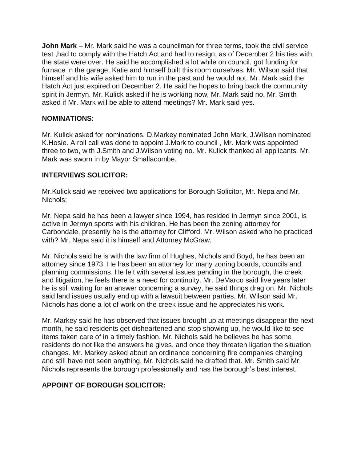**John Mark** – Mr. Mark said he was a councilman for three terms, took the civil service test ,had to comply with the Hatch Act and had to resign, as of December 2 his ties with the state were over. He said he accomplished a lot while on council, got funding for furnace in the garage, Katie and himself built this room ourselves. Mr. Wilson said that himself and his wife asked him to run in the past and he would not. Mr. Mark said the Hatch Act just expired on December 2. He said he hopes to bring back the community spirit in Jermyn. Mr. Kulick asked if he is working now, Mr. Mark said no. Mr. Smith asked if Mr. Mark will be able to attend meetings? Mr. Mark said yes.

## **NOMINATIONS:**

Mr. Kulick asked for nominations, D.Markey nominated John Mark, J.Wilson nominated K.Hosie. A roll call was done to appoint J.Mark to council , Mr. Mark was appointed three to two, with J.Smith and J.Wilson voting no. Mr. Kulick thanked all applicants. Mr. Mark was sworn in by Mayor Smallacombe.

### **INTERVIEWS SOLICITOR:**

Mr.Kulick said we received two applications for Borough Solicitor, Mr. Nepa and Mr. Nichols;

Mr. Nepa said he has been a lawyer since 1994, has resided in Jermyn since 2001, is active in Jermyn sports with his children. He has been the zoning attorney for Carbondale, presently he is the attorney for Clifford. Mr. Wilson asked who he practiced with? Mr. Nepa said it is himself and Attorney McGraw.

Mr. Nichols said he is with the law firm of Hughes, Nichols and Boyd, he has been an attorney since 1973. He has been an attorney for many zoning boards, councils and planning commissions. He felt with several issues pending in the borough, the creek and litigation, he feels there is a need for continuity. Mr. DeMarco said five years later he is still waiting for an answer concerning a survey, he said things drag on. Mr. Nichols said land issues usually end up with a lawsuit between parties. Mr. Wilson said Mr. Nichols has done a lot of work on the creek issue and he appreciates his work.

Mr. Markey said he has observed that issues brought up at meetings disappear the next month, he said residents get disheartened and stop showing up, he would like to see items taken care of in a timely fashion. Mr. Nichols said he believes he has some residents do not like the answers he gives, and once they threaten ligation the situation changes. Mr. Markey asked about an ordinance concerning fire companies charging and still have not seen anything. Mr. Nichols said he drafted that. Mr. Smith said Mr. Nichols represents the borough professionally and has the borough's best interest.

## **APPOINT OF BOROUGH SOLICITOR:**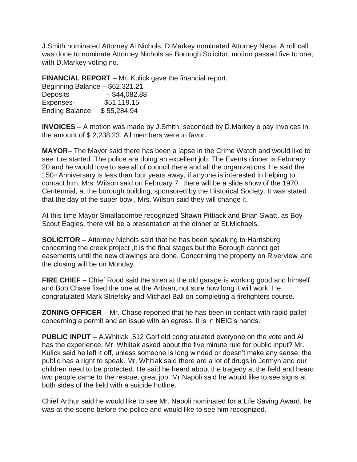J.Smith nominated Attorney Al Nichols, D.Markey nominated Attorney Nepa. A roll call was done to nominate Attorney Nichols as Borough Solicitor, motion passed five to one, with D.Markey voting no.

**FINANCIAL REPORT** – Mr. Kulick gave the financial report:

| Beginning Balance - \$62,321.21 |                 |
|---------------------------------|-----------------|
| <b>Deposits</b>                 | $-$ \$44,082.88 |
| Expenses-                       | \$51,119.15     |
| <b>Ending Balance</b>           | \$55,284.94     |

**INVOICES** – A motion was made by J.Smith, seconded by D.Markey o pay invoices in the amount of \$ 2,238.23. All members were in favor.

**MAYOR**– The Mayor said there has been a lapse in the Crime Watch and would like to see it re started. The police are doing an excellent job. The Events dinner is Feburary 20 and he would love to see all of council there and all the organizations. He said the 150<sup>th</sup> Anniversary is less than four years away, if anyone is interested in helping to contact him. Mrs. Wilson said on February  $7<sup>th</sup>$  there will be a slide show of the 1970 Centennial, at the borough building, sponsored by the Historical Society. It was stated that the day of the super bowl, Mrs. Wilson said they will change it.

At this time Mayor Smallacombe recognized Shawn Pittiack and Brian Swatt, as Boy Scout Eagles, there will be a presentation at the dinner at St.Michaels.

**SOLICITOR** – Attorney Nichols said that he has been speaking to Harrisburg concerning the creek project ,it is the final stages but the Borough cannot get easements until the new drawings are done. Concerning the property on Riverview lane the closing will be on Monday.

**FIRE CHIEF** – Chief Rood said the siren at the old garage is working good and himself and Bob Chase fixed the one at the Artisan, not sure how long it will work. He congratulated Mark Striefsky and Michael Ball on completing a firefighters course.

**ZONING OFFICER** – Mr. Chase reported that he has been in contact with rapid pallet concerning a permit and an issue with an egress, it is in NEIC's hands.

**PUBLIC INPUT** – A.Whitiak ,512 Garfield congratulated everyone on the vote and Al has the experience. Mr. Whiitak asked about the five minute rule for public input? Mr. Kulick said he left it off, unless someone is long winded or doesn't make any sense, the public has a right to speak. Mr. Whitiak said there are a lot of drugs in Jermyn and our children need to be protected. He said he heard about the tragedy at the field and heard two people came to the rescue, great job. Mr.Napoli said he would like to see signs at both sides of the field with a suicide hotline.

Chief Arthur said he would like to see Mr. Napoli nominated for a Life Saving Award, he was at the scene before the police and would like to see him recognized.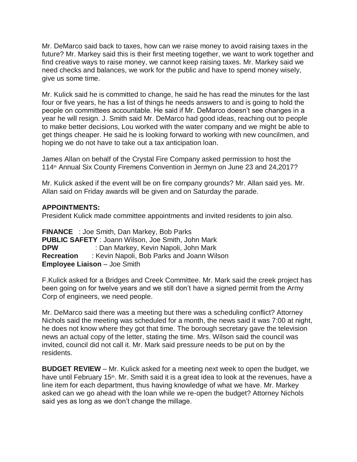Mr. DeMarco said back to taxes, how can we raise money to avoid raising taxes in the future? Mr. Markey said this is their first meeting together, we want to work together and find creative ways to raise money, we cannot keep raising taxes. Mr. Markey said we need checks and balances, we work for the public and have to spend money wisely, give us some time.

Mr. Kulick said he is committed to change, he said he has read the minutes for the last four or five years, he has a list of things he needs answers to and is going to hold the people on committees accountable. He said if Mr. DeMarco doesn't see changes in a year he will resign. J. Smith said Mr. DeMarco had good ideas, reaching out to people to make better decisions, Lou worked with the water company and we might be able to get things cheaper. He said he is looking forward to working with new councilmen, and hoping we do not have to take out a tax anticipation loan.

James Allan on behalf of the Crystal Fire Company asked permission to host the 114<sup>th</sup> Annual Six County Firemens Convention in Jermyn on June 23 and 24,2017?

Mr. Kulick asked if the event will be on fire company grounds? Mr. Allan said yes. Mr. Allan said on Friday awards will be given and on Saturday the parade.

## **APPOINTMENTS:**

President Kulick made committee appointments and invited residents to join also.

**FINANCE** : Joe Smith, Dan Markey, Bob Parks **PUBLIC SAFETY** : Joann Wilson, Joe Smith, John Mark **DPW** : Dan Markey, Kevin Napoli, John Mark **Recreation** : Kevin Napoli, Bob Parks and Joann Wilson **Employee Liaison** – Joe Smith

F.Kulick asked for a Bridges and Creek Committee. Mr. Mark said the creek project has been going on for twelve years and we still don't have a signed permit from the Army Corp of engineers, we need people.

Mr. DeMarco said there was a meeting but there was a scheduling conflict? Attorney Nichols said the meeting was scheduled for a month, the news said it was 7:00 at night, he does not know where they got that time. The borough secretary gave the television news an actual copy of the letter, stating the time. Mrs. Wilson said the council was invited, council did not call it. Mr. Mark said pressure needs to be put on by the residents.

**BUDGET REVIEW** – Mr. Kulick asked for a meeting next week to open the budget, we have until February 15<sup>th</sup>. Mr. Smith said it is a great idea to look at the revenues, have a line item for each department, thus having knowledge of what we have. Mr. Markey asked can we go ahead with the loan while we re-open the budget? Attorney Nichols said yes as long as we don't change the millage.